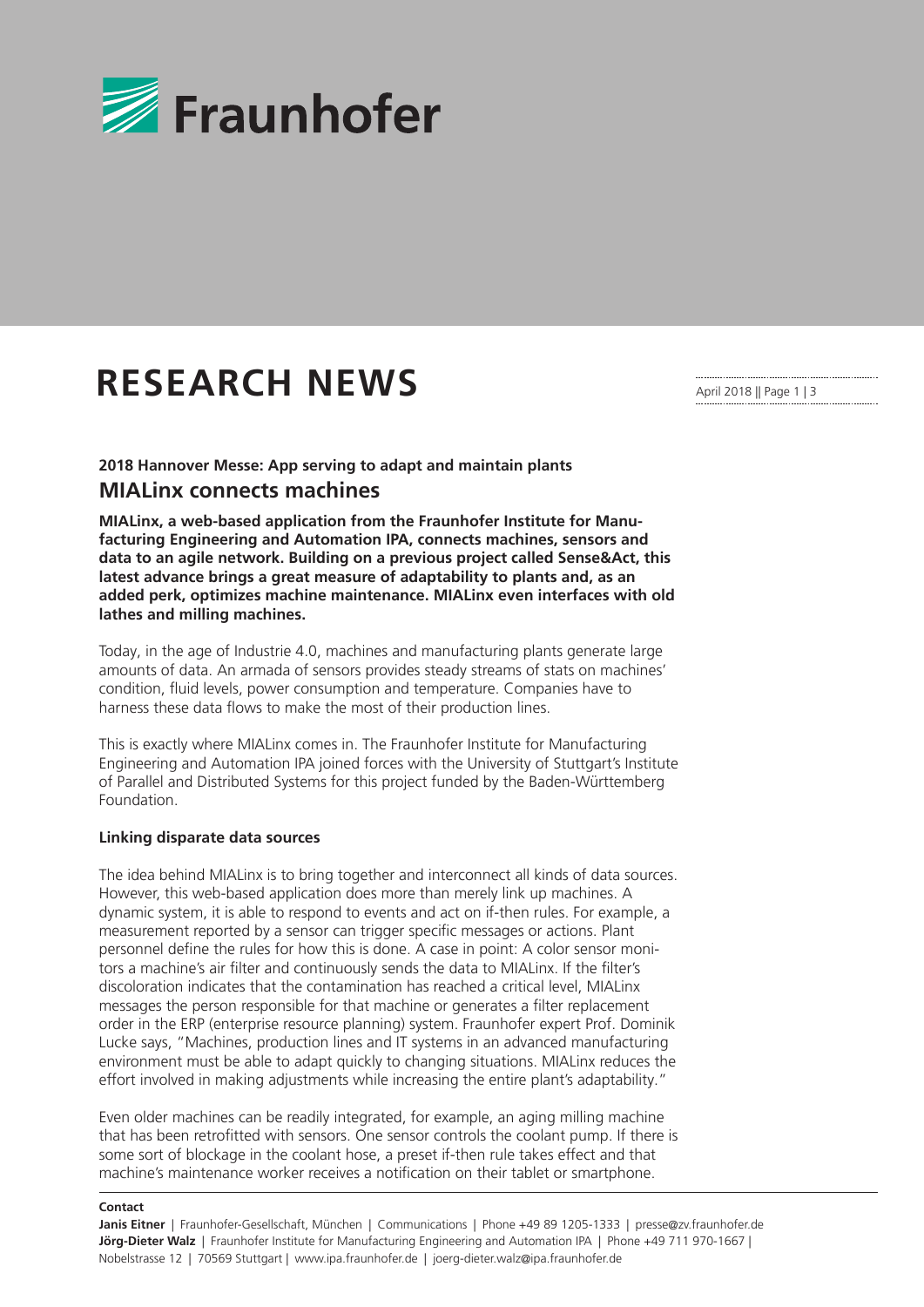

## **RESEARCH NEWS**

**2018 Hannover Messe: App serving to adapt and maintain plants MIALinx connects machines**

**MIALinx, a web-based application from the Fraunhofer Institute for Manufacturing Engineering and Automation IPA, connects machines, sensors and data to an agile network. Building on a previous project called Sense&Act, this latest advance brings a great measure of adaptability to plants and, as an added perk, optimizes machine maintenance. MIALinx even interfaces with old lathes and milling machines.**

Today, in the age of Industrie 4.0, machines and manufacturing plants generate large amounts of data. An armada of sensors provides steady streams of stats on machines' condition, fluid levels, power consumption and temperature. Companies have to harness these data flows to make the most of their production lines.

This is exactly where MIALinx comes in. The Fraunhofer Institute for Manufacturing Engineering and Automation IPA joined forces with the University of Stuttgart's Institute of Parallel and Distributed Systems for this project funded by the Baden-Württemberg Foundation.

## **Linking disparate data sources**

The idea behind MIALinx is to bring together and interconnect all kinds of data sources. However, this web-based application does more than merely link up machines. A dynamic system, it is able to respond to events and act on if-then rules. For example, a measurement reported by a sensor can trigger specific messages or actions. Plant personnel define the rules for how this is done. A case in point: A color sensor monitors a machine's air filter and continuously sends the data to MIALinx. If the filter's discoloration indicates that the contamination has reached a critical level, MIALinx messages the person responsible for that machine or generates a filter replacement order in the ERP (enterprise resource planning) system. Fraunhofer expert Prof. Dominik Lucke says, "Machines, production lines and IT systems in an advanced manufacturing environment must be able to adapt quickly to changing situations. MIALinx reduces the effort involved in making adjustments while increasing the entire plant's adaptability."

Even older machines can be readily integrated, for example, an aging milling machine that has been retrofitted with sensors. One sensor controls the coolant pump. If there is some sort of blockage in the coolant hose, a preset if-then rule takes effect and that machine's maintenance worker receives a notification on their tablet or smartphone.

**Contact**

**Janis Eitner** | Fraunhofer-Gesellschaft, München | Communications | Phone +49 89 1205-1333 | presse@zv.fraunhofer.de **Jörg-Dieter Walz** | Fraunhofer Institute for Manufacturing Engineering and Automation IPA | Phone +49 711 970-1667 | Nobelstrasse 12 | 70569 Stuttgart | www.ipa.fraunhofer.de | joerg-dieter.walz@ipa.fraunhofer.de

April 2018 || Page 1 | 3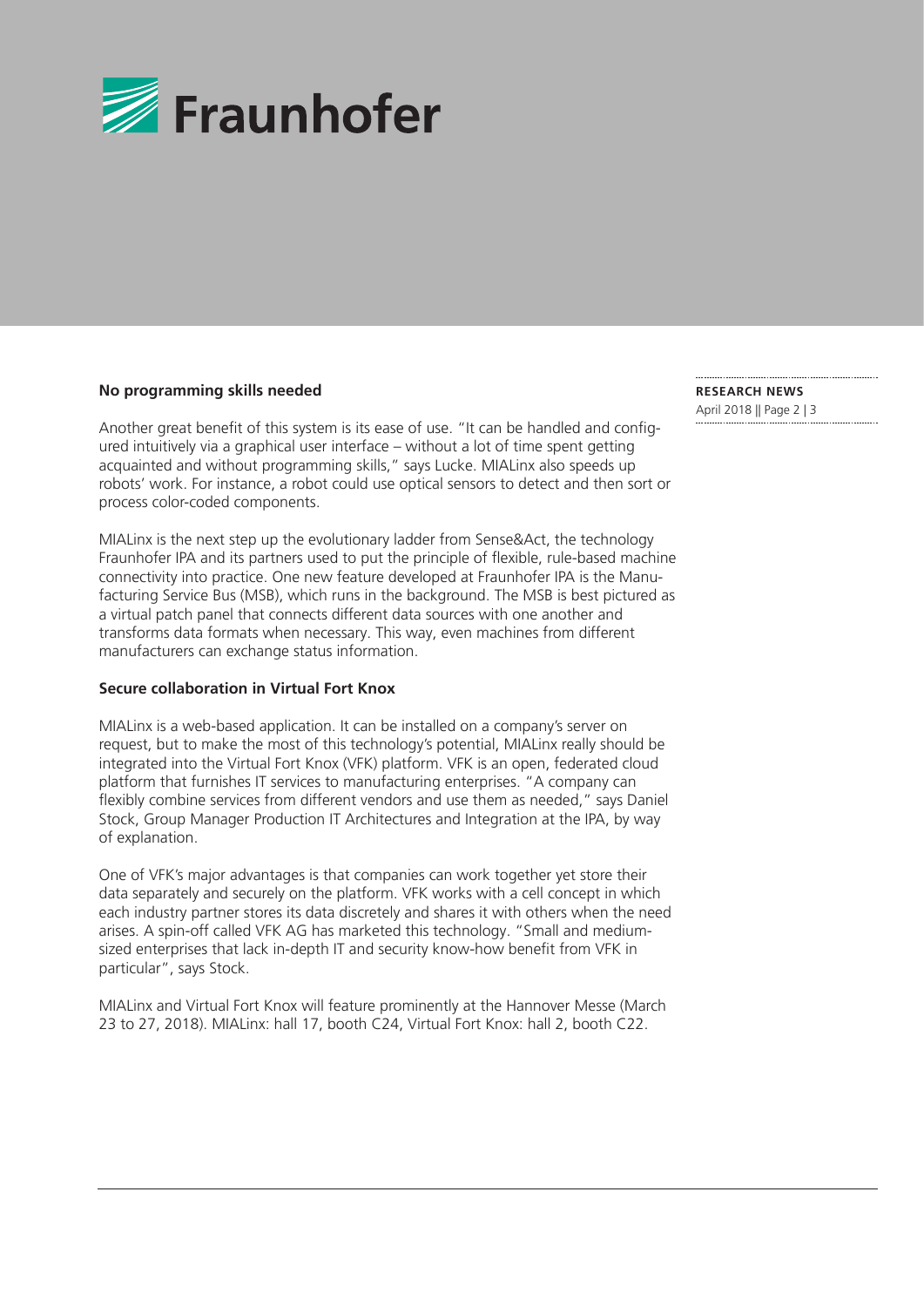

## **No programming skills needed**

Another great benefit of this system is its ease of use. "It can be handled and configured intuitively via a graphical user interface – without a lot of time spent getting acquainted and without programming skills," says Lucke. MIALinx also speeds up robots' work. For instance, a robot could use optical sensors to detect and then sort or process color-coded components.

MIALinx is the next step up the evolutionary ladder from Sense&Act, the technology Fraunhofer IPA and its partners used to put the principle of flexible, rule-based machine connectivity into practice. One new feature developed at Fraunhofer IPA is the Manufacturing Service Bus (MSB), which runs in the background. The MSB is best pictured as a virtual patch panel that connects different data sources with one another and transforms data formats when necessary. This way, even machines from different manufacturers can exchange status information.

## **Secure collaboration in Virtual Fort Knox**

MIALinx is a web-based application. It can be installed on a company's server on request, but to make the most of this technology's potential, MIALinx really should be integrated into the Virtual Fort Knox (VFK) platform. VFK is an open, federated cloud platform that furnishes IT services to manufacturing enterprises. "A company can flexibly combine services from different vendors and use them as needed," says Daniel Stock, Group Manager Production IT Architectures and Integration at the IPA, by way of explanation.

One of VFK's major advantages is that companies can work together yet store their data separately and securely on the platform. VFK works with a cell concept in which each industry partner stores its data discretely and shares it with others when the need arises. A spin-off called VFK AG has marketed this technology. "Small and mediumsized enterprises that lack in-depth IT and security know-how benefit from VFK in particular", says Stock.

MIALinx and Virtual Fort Knox will feature prominently at the Hannover Messe (March 23 to 27, 2018). MIALinx: hall 17, booth C24, Virtual Fort Knox: hall 2, booth C22.

**RESEARCH NEWS**  April 2018 || Page 2 | 3